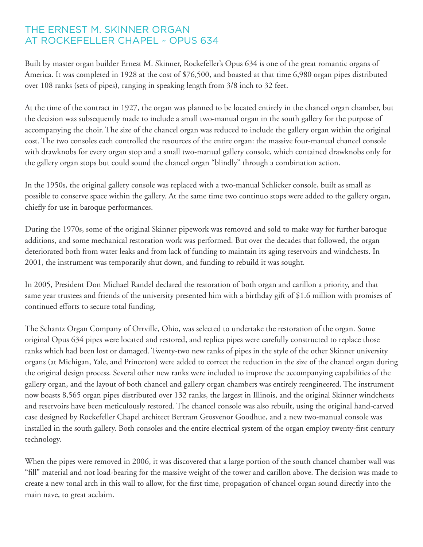# THE ERNEST M. SKINNER ORGAN AT ROCKEFELLER CHAPEL ~ OPUS 634

Built by master organ builder Ernest M. Skinner, Rockefeller's Opus 634 is one of the great romantic organs of America. It was completed in 1928 at the cost of \$76,500, and boasted at that time 6,980 organ pipes distributed over 108 ranks (sets of pipes), ranging in speaking length from 3/8 inch to 32 feet.

At the time of the contract in 1927, the organ was planned to be located entirely in the chancel organ chamber, but the decision was subsequently made to include a small two-manual organ in the south gallery for the purpose of accompanying the choir. The size of the chancel organ was reduced to include the gallery organ within the original cost. The two consoles each controlled the resources of the entire organ: the massive four-manual chancel console with drawknobs for every organ stop and a small two-manual gallery console, which contained drawknobs only for the gallery organ stops but could sound the chancel organ "blindly" through a combination action.

In the 1950s, the original gallery console was replaced with a two-manual Schlicker console, built as small as possible to conserve space within the gallery. At the same time two continuo stops were added to the gallery organ, chiefly for use in baroque performances.

During the 1970s, some of the original Skinner pipework was removed and sold to make way for further baroque additions, and some mechanical restoration work was performed. But over the decades that followed, the organ deteriorated both from water leaks and from lack of funding to maintain its aging reservoirs and windchests. In 2001, the instrument was temporarily shut down, and funding to rebuild it was sought.

In 2005, President Don Michael Randel declared the restoration of both organ and carillon a priority, and that same year trustees and friends of the university presented him with a birthday gift of \$1.6 million with promises of continued efforts to secure total funding.

The Schantz Organ Company of Orrville, Ohio, was selected to undertake the restoration of the organ. Some original Opus 634 pipes were located and restored, and replica pipes were carefully constructed to replace those ranks which had been lost or damaged. Twenty-two new ranks of pipes in the style of the other Skinner university organs (at Michigan, Yale, and Princeton) were added to correct the reduction in the size of the chancel organ during the original design process. Several other new ranks were included to improve the accompanying capabilities of the gallery organ, and the layout of both chancel and gallery organ chambers was entirely reengineered. The instrument now boasts 8,565 organ pipes distributed over 132 ranks, the largest in Illinois, and the original Skinner windchests and reservoirs have been meticulously restored. The chancel console was also rebuilt, using the original hand-carved case designed by Rockefeller Chapel architect Bertram Grosvenor Goodhue, and a new two-manual console was installed in the south gallery. Both consoles and the entire electrical system of the organ employ twenty-first century technology.

When the pipes were removed in 2006, it was discovered that a large portion of the south chancel chamber wall was "fill" material and not load-bearing for the massive weight of the tower and carillon above. The decision was made to create a new tonal arch in this wall to allow, for the first time, propagation of chancel organ sound directly into the main nave, to great acclaim.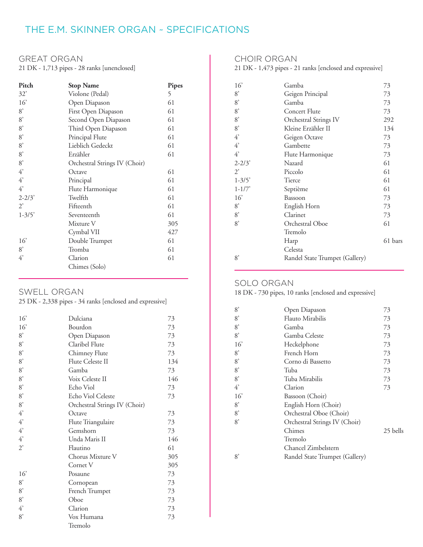# THE E.M. SKINNER ORGAN ~ SPECIFICATIONS

#### GREAT ORGAN

21 DK - 1,713 pipes - 28 ranks [unenclosed]

| Pitch          | <b>Stop Name</b>              | Pipes |
|----------------|-------------------------------|-------|
| 32'            | Violone (Pedal)               | 5     |
| 16'            | Open Diapason                 | 61    |
| 8'             | First Open Diapason           | 61    |
| 8'             | Second Open Diapason          | 61    |
| 8'             | Third Open Diapason           | 61    |
| 8'             | Principal Flute               | 61    |
| 8'             | Lieblich Gedeckt              | 61    |
| 8'             | Erzähler                      | 61    |
| 8'             | Orchestral Strings IV (Choir) |       |
| $\overline{4}$ | Octave                        | 61    |
| $\overline{4}$ | Principal                     | 61    |
| $\overline{4}$ | Flute Harmonique              | 61    |
| $2 - 2/3'$     | Twelfth                       | 61    |
| $2^{\circ}$    | Fifteenth                     | 61    |
| $1 - 3/5'$     | Seventeenth                   | 61    |
|                | Mixture V                     | 305   |
|                | Cymbal VII                    | 427   |
| 16             | Double Trumpet                | 61    |
| 8'             | Tromba                        | 61    |
| $\overline{4}$ | Clarion                       | 61    |
|                | Chimes (Solo)                 |       |

#### SWELL ORGAN

25 DK - 2,338 pipes - 34 ranks [enclosed and expressive]

| 16'            | Dulciana                      | 73  |
|----------------|-------------------------------|-----|
| 16'            | Bourdon                       | 73  |
| 8'             | Open Diapason                 | 73  |
| 8'             | Claribel Flute                | 73  |
| 8'             | Chimney Flute                 | 73  |
| 8'             | Flute Celeste II              | 134 |
| 8'             | Gamba                         | 73  |
| 8'             | Voix Celeste II               | 146 |
| 8'             | Echo Viol                     | 73  |
| 8'             | Echo Viol Celeste             | 73  |
| 8'             | Orchestral Strings IV (Choir) |     |
| $\vec{4}$      | Octave                        | 73  |
| $\overline{4}$ | Flute Triangulaire            | 73  |
| $\vec{4}$      | Gemshorn                      | 73  |
| $4^{\circ}$    | Unda Maris II                 | 146 |
| $2^{\circ}$    | Flautino                      | 61  |
|                | Chorus Mixture V              | 305 |
|                | Cornet V                      | 305 |
| 16             | Posaune                       | 73  |
| 8'             | Cornopean                     | 73  |
| 8'             | French Trumpet                | 73  |
| 8'             | Oboe                          | 73  |
| $\overline{4}$ | Clarion                       | 73  |
| 8'             | Vox Humana                    | 73  |
|                | Tremolo                       |     |

#### CHOIR ORGAN

21 DK - 1,473 pipes - 21 ranks [enclosed and expressive]

| 16'            | Gamba                          | 73      |
|----------------|--------------------------------|---------|
| 8'             | Geigen Principal               | 73      |
| 8'             | Gamba                          | 73      |
| 8'             | <b>Concert Flute</b>           | 73      |
| 8'             | Orchestral Strings IV          | 292     |
| 8'             | Kleine Erzähler II             | 134     |
| $\overline{4}$ | Geigen Octave                  | 73      |
| $\overline{4}$ | Gambette                       | 73      |
| $4^{\circ}$    | Flute Harmonique               | 73      |
| $2 - 2/3'$     | Nazard                         | 61      |
| $2^{\circ}$    | Piccolo                        | 61      |
| $1 - 3/5'$     | Tierce                         | 61      |
| $1 - 1/7$      | Septième                       | 61      |
| 16'            | Bassoon                        | 73      |
| 8'             | English Horn                   | 73      |
| 8'             | Clarinet                       | 73      |
| 8'             | Orchestral Oboe                | 61      |
|                | Tremolo                        |         |
|                | Harp                           | 61 bars |
|                | Celesta                        |         |
| 8'             | Randel State Trumpet (Gallery) |         |
|                |                                |         |

#### SOLO ORGAN

18 DK - 730 pipes, 10 ranks [enclosed and expressive]

| 8'             | Open Diapason                  | 73       |
|----------------|--------------------------------|----------|
| 8'             | <b>Flauto Mirabilis</b>        | 73       |
| 8'             | Gamba                          | 73       |
| 8'             | Gamba Celeste                  | 73       |
| $16^{\circ}$   | Heckelphone                    | 73       |
| 8'             | French Horn                    | 73       |
| 8'             | Corno di Bassetto              | 73       |
| 8'             | Tuba                           | 73       |
| 8'             | Tuba Mirabilis                 | 73       |
| $\overline{4}$ | Clarion                        | 73       |
| 16'            | Bassoon (Choir)                |          |
| 8'             | English Horn (Choir)           |          |
| 8'             | Orchestral Oboe (Choir)        |          |
| 8'             | Orchestral Strings IV (Choir)  |          |
|                | Chimes                         | 25 bells |
|                | Tremolo                        |          |
|                | Chancel Zimbelstern            |          |
| 8'             | Randel State Trumpet (Gallery) |          |
|                |                                |          |